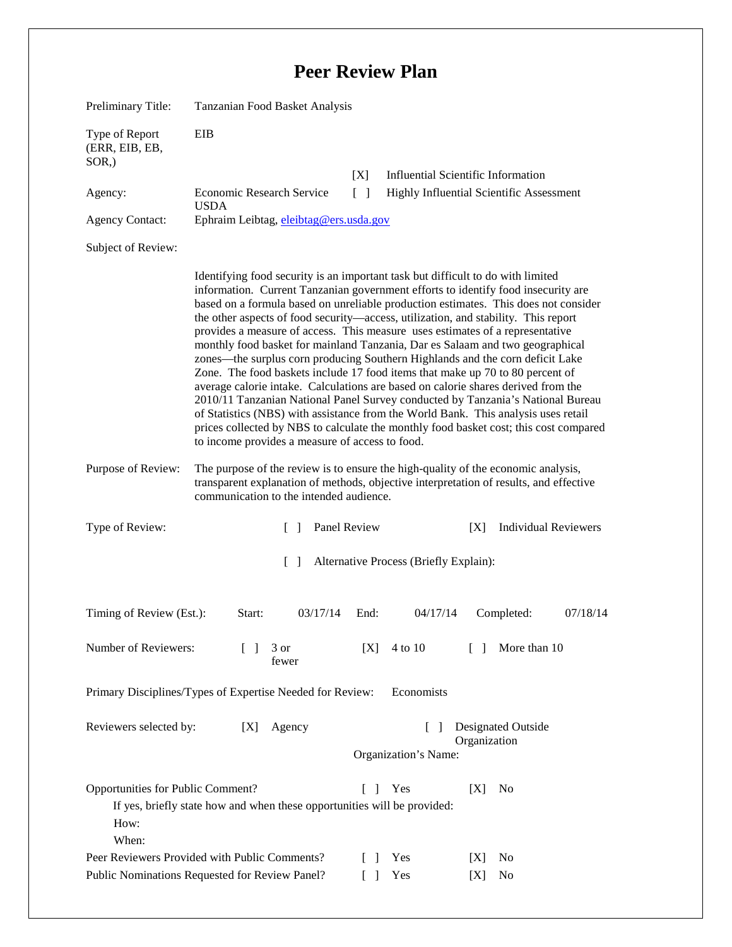## **Peer Review Plan**

| Preliminary Title:                                                                                                                                                                      | Tanzanian Food Basket Analysis                                                                                                                                                                                                                                                                                                                                                                                                                                                                                                                                                                                                                                                                                                                                                                                                                                                                                                                                                                                                                                                                  |        |                                                    |                                                 |          |
|-----------------------------------------------------------------------------------------------------------------------------------------------------------------------------------------|-------------------------------------------------------------------------------------------------------------------------------------------------------------------------------------------------------------------------------------------------------------------------------------------------------------------------------------------------------------------------------------------------------------------------------------------------------------------------------------------------------------------------------------------------------------------------------------------------------------------------------------------------------------------------------------------------------------------------------------------------------------------------------------------------------------------------------------------------------------------------------------------------------------------------------------------------------------------------------------------------------------------------------------------------------------------------------------------------|--------|----------------------------------------------------|-------------------------------------------------|----------|
| Type of Report<br>(ERR, EIB, EB,<br>$SOR$ <sub>,</sub> )                                                                                                                                | EIB                                                                                                                                                                                                                                                                                                                                                                                                                                                                                                                                                                                                                                                                                                                                                                                                                                                                                                                                                                                                                                                                                             |        |                                                    |                                                 |          |
|                                                                                                                                                                                         |                                                                                                                                                                                                                                                                                                                                                                                                                                                                                                                                                                                                                                                                                                                                                                                                                                                                                                                                                                                                                                                                                                 | [X]    |                                                    | <b>Influential Scientific Information</b>       |          |
| Agency:                                                                                                                                                                                 | <b>Economic Research Service</b><br><b>USDA</b>                                                                                                                                                                                                                                                                                                                                                                                                                                                                                                                                                                                                                                                                                                                                                                                                                                                                                                                                                                                                                                                 | $\Box$ |                                                    | <b>Highly Influential Scientific Assessment</b> |          |
| <b>Agency Contact:</b>                                                                                                                                                                  | Ephraim Leibtag, eleibtag@ers.usda.gov                                                                                                                                                                                                                                                                                                                                                                                                                                                                                                                                                                                                                                                                                                                                                                                                                                                                                                                                                                                                                                                          |        |                                                    |                                                 |          |
| Subject of Review:                                                                                                                                                                      |                                                                                                                                                                                                                                                                                                                                                                                                                                                                                                                                                                                                                                                                                                                                                                                                                                                                                                                                                                                                                                                                                                 |        |                                                    |                                                 |          |
|                                                                                                                                                                                         | Identifying food security is an important task but difficult to do with limited<br>information. Current Tanzanian government efforts to identify food insecurity are<br>based on a formula based on unreliable production estimates. This does not consider<br>the other aspects of food security—access, utilization, and stability. This report<br>provides a measure of access. This measure uses estimates of a representative<br>monthly food basket for mainland Tanzania, Dar es Salaam and two geographical<br>zones—the surplus corn producing Southern Highlands and the corn deficit Lake<br>Zone. The food baskets include 17 food items that make up 70 to 80 percent of<br>average calorie intake. Calculations are based on calorie shares derived from the<br>2010/11 Tanzanian National Panel Survey conducted by Tanzania's National Bureau<br>of Statistics (NBS) with assistance from the World Bank. This analysis uses retail<br>prices collected by NBS to calculate the monthly food basket cost; this cost compared<br>to income provides a measure of access to food. |        |                                                    |                                                 |          |
| Purpose of Review:                                                                                                                                                                      | The purpose of the review is to ensure the high-quality of the economic analysis,<br>transparent explanation of methods, objective interpretation of results, and effective<br>communication to the intended audience.                                                                                                                                                                                                                                                                                                                                                                                                                                                                                                                                                                                                                                                                                                                                                                                                                                                                          |        |                                                    |                                                 |          |
| Type of Review:                                                                                                                                                                         | Panel Review<br>$\Box$                                                                                                                                                                                                                                                                                                                                                                                                                                                                                                                                                                                                                                                                                                                                                                                                                                                                                                                                                                                                                                                                          |        | <b>Individual Reviewers</b><br>[X]                 |                                                 |          |
| Alternative Process (Briefly Explain):<br>$\Box$                                                                                                                                        |                                                                                                                                                                                                                                                                                                                                                                                                                                                                                                                                                                                                                                                                                                                                                                                                                                                                                                                                                                                                                                                                                                 |        |                                                    |                                                 |          |
| Timing of Review (Est.):                                                                                                                                                                | 03/17/14<br>Start:                                                                                                                                                                                                                                                                                                                                                                                                                                                                                                                                                                                                                                                                                                                                                                                                                                                                                                                                                                                                                                                                              | End:   | 04/17/14                                           | Completed:                                      | 07/18/14 |
| Number of Reviewers:                                                                                                                                                                    | 3 or<br>$\Box$<br>fewer                                                                                                                                                                                                                                                                                                                                                                                                                                                                                                                                                                                                                                                                                                                                                                                                                                                                                                                                                                                                                                                                         | [X]    | 4 to 10                                            | More than 10<br>$\Box$                          |          |
| Primary Disciplines/Types of Expertise Needed for Review:<br>Economists                                                                                                                 |                                                                                                                                                                                                                                                                                                                                                                                                                                                                                                                                                                                                                                                                                                                                                                                                                                                                                                                                                                                                                                                                                                 |        |                                                    |                                                 |          |
| Reviewers selected by:<br>Agency<br>[X]                                                                                                                                                 |                                                                                                                                                                                                                                                                                                                                                                                                                                                                                                                                                                                                                                                                                                                                                                                                                                                                                                                                                                                                                                                                                                 |        | Designated Outside<br>$\mathsf{L}$<br>Organization |                                                 |          |
|                                                                                                                                                                                         |                                                                                                                                                                                                                                                                                                                                                                                                                                                                                                                                                                                                                                                                                                                                                                                                                                                                                                                                                                                                                                                                                                 |        | Organization's Name:                               |                                                 |          |
| Opportunities for Public Comment?<br>$\begin{bmatrix} 1 \end{bmatrix}$<br>Yes<br>No<br>[X]<br>If yes, briefly state how and when these opportunities will be provided:<br>How:<br>When: |                                                                                                                                                                                                                                                                                                                                                                                                                                                                                                                                                                                                                                                                                                                                                                                                                                                                                                                                                                                                                                                                                                 |        |                                                    |                                                 |          |
| Peer Reviewers Provided with Public Comments?                                                                                                                                           |                                                                                                                                                                                                                                                                                                                                                                                                                                                                                                                                                                                                                                                                                                                                                                                                                                                                                                                                                                                                                                                                                                 |        | Yes                                                | [X]<br>N <sub>0</sub>                           |          |
| Public Nominations Requested for Review Panel?<br>Yes<br>$\Box$<br>N <sub>0</sub><br> X                                                                                                 |                                                                                                                                                                                                                                                                                                                                                                                                                                                                                                                                                                                                                                                                                                                                                                                                                                                                                                                                                                                                                                                                                                 |        |                                                    |                                                 |          |